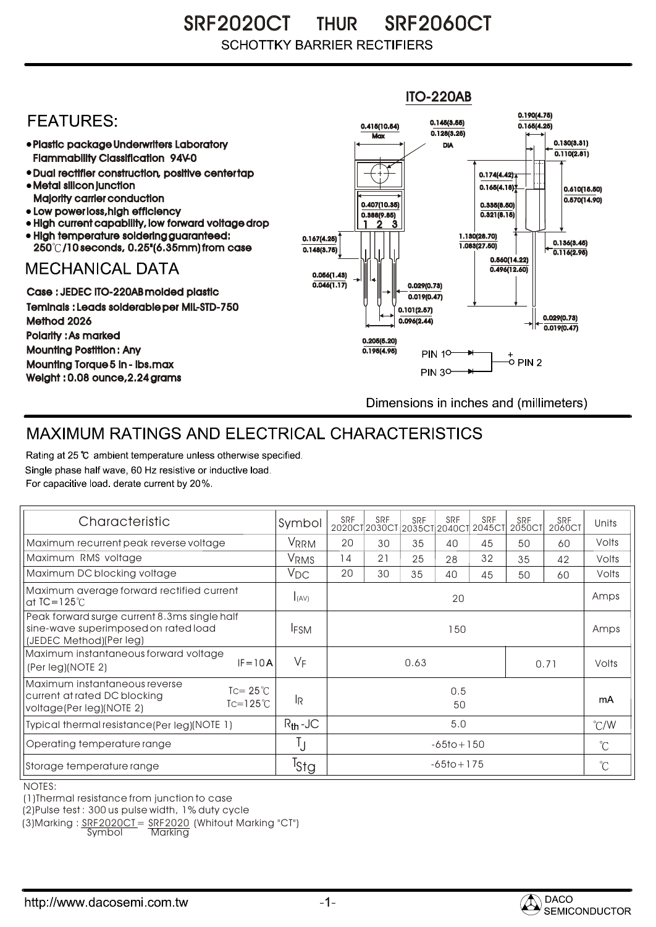SRF2020CT THUR SRF2060CT **SCHOTTKY BARRIER RECTIFIERS** 

## ITO-220AB 0.190(4.75) **FFATURFS:** 0.145(3.55) 0.415(10.54) 0.165(4.25)  $Max \overline{0.128(3.25)}$ Plastic package Underwriters Laboratory 0.130(3.31) DIA  $\overline{0.110(2.81)}$ Flammability Classification 94V-0 Dual rectifier construction, positive center tap 0.174(4.42) Metal silicon junction  $0.165(4.18)$ 0.610(15.50) Majority carrier conduction  $0.570(14.90)$ 0.407(10.35) 0.335(8.50) • Low power loss, high efficiency  $0.321(8.15)$ 0.388(9.85) High current capability, low forward voltage drop 2 1 3 High temperature soldering guaranteed: 1.130(28.70) 0.167(4.25) 250 /10 seconds, 0.25"(6.35mm) from case 1.083(27.50) 0.136(3.45) 0.148(3.75) 0.116(2.95) 0.560(14.22) **MECHANICAL DATA**  $0.496(12.60)$ 0.056(1.43)  $\overline{0.046(1.17)}$   $\rightarrow$   $\|$   $\uparrow$   $\|$   $\|$  0.029(0.73) Case : JEDEC iTO-220AB molded plastic  $0.019(0.47)$ Teminals : Leads solderable per MIL-STD-750 0.101(2.57) 0.029(0.73) Method 2026  $0.096(2.44)$  $0.019(0.47)$ Polarity : As marked 0.205(5.20) Mounting Postition : Any 0.195(4.95) **PIN 10-**+<br>-0 PIN 2 Mounting Torque 5 in - lbs.max **PIN 30-**Weight : 0.08 ounce,2.24 grams Dimensions in inches and (millimeters)

## MAXIMUM RATINGS AND ELECTRICAL CHARACTERISTICS

Rating at 25 °C ambient temperature unless otherwise specified. Single phase half wave, 60 Hz resistive or inductive load. For capacitive load, derate current by 20%.

| Characteristic                                                                                                                      | Symbol           | SRF            | <b>SRF</b> | <b>SRF</b> | SRF | <b>SRF</b><br>2020CT2030CT2035CT2040CT2045CT | SRF<br>2050CT | <b>SRF</b><br>2060CT | Units       |
|-------------------------------------------------------------------------------------------------------------------------------------|------------------|----------------|------------|------------|-----|----------------------------------------------|---------------|----------------------|-------------|
| Maximum recurrent peak reverse voltage                                                                                              | VRRM             | 20             | 30         | 35         | 40  | 45                                           | 50            | 60                   | Volts       |
| Maximum RMS voltage                                                                                                                 | VRMS             | 14             | 21         | 25         | 28  | 32                                           | 35            | 42                   | Volts       |
| Maximum DC blocking voltage                                                                                                         | $V_{DC}$         | 20             | 30         | 35         | 40  | 45                                           | 50            | 60                   | Volts       |
| Maximum average forward rectified current<br>at $IC = 125^\circ C$                                                                  | I(AV)            | 20             |            |            |     |                                              |               |                      | Amps        |
| Peak forward surge current 8.3ms single half<br>sine-wave superimposed on rated load<br>(JEDEC Method)(Per leg)                     | <b>IFSM</b>      | 150            |            |            |     |                                              |               |                      | Amps        |
| Maximum instantaneous forward voltage<br>$IF = 10A$<br>(Per leg)(NOTE 2)                                                            | $V_F$            | 0.63<br>0.71   |            |            |     |                                              |               | Volts                |             |
| Maximum instantaneous reverse<br>$T = 25^{\circ}$<br>current at rated DC blocking<br>$Tc=125^{\circ}$ C<br>voltage(Per leg)(NOTE 2) | <b>IR</b>        | 0.5<br>50      |            |            |     |                                              |               |                      | mA          |
| Typical thermal resistance (Per leg) (NOTE 1)                                                                                       | $R_{th}$ -JC     | 5.0            |            |            |     |                                              |               | $\degree$ C/W        |             |
| Operating temperature range                                                                                                         | IJ               | $-65$ to + 150 |            |            |     |                                              |               | $^{\circ}C$          |             |
| Storage temperature range                                                                                                           | <sup>I</sup> Sta | $-65$ to + 175 |            |            |     |                                              |               |                      | $^{\circ}C$ |

NOTES:

(1)Thermal resistance from junction to case

(2)Pulse test : 300 us pulse width, 1% duty cycle

(3)Marking : <u>SRF2020CT</u>= <u>SRF2020</u> (Whitout Marking "CT")

Symbol Marking